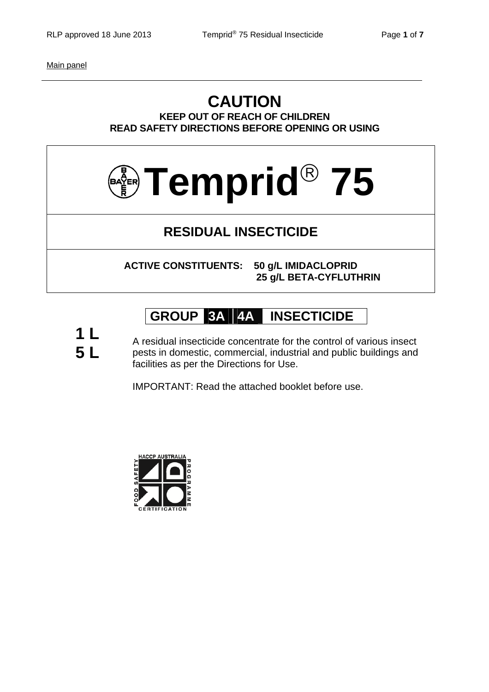Main panel

### **CAUTION KEEP OUT OF REACH OF CHILDREN READ SAFETY DIRECTIONS BEFORE OPENING OR USING**



## **RESIDUAL INSECTICIDE**

**ACTIVE CONSTITUENTS: 50 g/L IMIDACLOPRID 25 g/L BETA-CYFLUTHRIN**

# **GROUP 3A 4A INSECTICIDE**

**1 L 5 L**

A residual insecticide concentrate for the control of various insect pests in domestic, commercial, industrial and public buildings and facilities as per the Directions for Use.

IMPORTANT: Read the attached booklet before use.

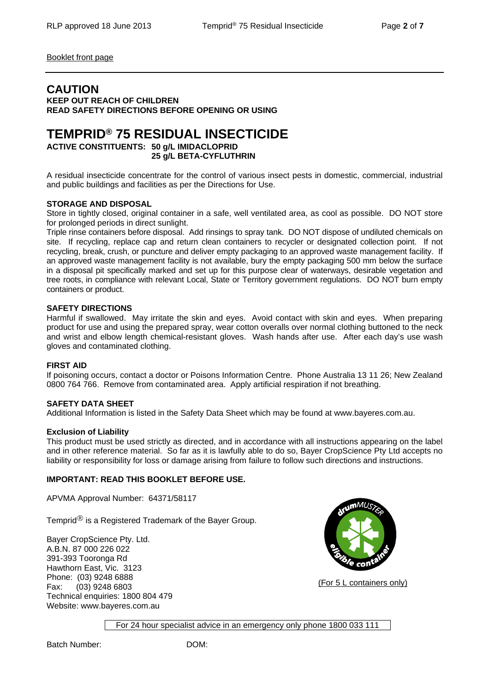Booklet front page

### **CAUTION**

**KEEP OUT REACH OF CHILDREN READ SAFETY DIRECTIONS BEFORE OPENING OR USING** 

## **TEMPRID® 75 RESIDUAL INSECTICIDE**

**ACTIVE CONSTITUENTS: 50 g/L IMIDACLOPRID 25 g/L BETA-CYFLUTHRIN** 

A residual insecticide concentrate for the control of various insect pests in domestic, commercial, industrial and public buildings and facilities as per the Directions for Use.

#### **STORAGE AND DISPOSAL**

Store in tightly closed, original container in a safe, well ventilated area, as cool as possible. DO NOT store for prolonged periods in direct sunlight.

Triple rinse containers before disposal. Add rinsings to spray tank. DO NOT dispose of undiluted chemicals on site. If recycling, replace cap and return clean containers to recycler or designated collection point. If not recycling, break, crush, or puncture and deliver empty packaging to an approved waste management facility. If an approved waste management facility is not available, bury the empty packaging 500 mm below the surface in a disposal pit specifically marked and set up for this purpose clear of waterways, desirable vegetation and tree roots, in compliance with relevant Local, State or Territory government regulations. DO NOT burn empty containers or product.

#### **SAFETY DIRECTIONS**

Harmful if swallowed. May irritate the skin and eyes. Avoid contact with skin and eyes. When preparing product for use and using the prepared spray, wear cotton overalls over normal clothing buttoned to the neck and wrist and elbow length chemical-resistant gloves. Wash hands after use. After each day's use wash gloves and contaminated clothing.

#### **FIRST AID**

If poisoning occurs, contact a doctor or Poisons Information Centre. Phone Australia 13 11 26; New Zealand 0800 764 766. Remove from contaminated area. Apply artificial respiration if not breathing.

#### **SAFETY DATA SHEET**

Additional Information is listed in the Safety Data Sheet which may be found at www.bayeres.com.au.

#### **Exclusion of Liability**

This product must be used strictly as directed, and in accordance with all instructions appearing on the label and in other reference material. So far as it is lawfully able to do so, Bayer CropScience Pty Ltd accepts no liability or responsibility for loss or damage arising from failure to follow such directions and instructions.

#### **IMPORTANT: READ THIS BOOKLET BEFORE USE.**

APVMA Approval Number: 64371/58117

Temprid<sup>®</sup> is a Registered Trademark of the Bayer Group.

Bayer CropScience Pty. Ltd. A.B.N. 87 000 226 022 391-393 Tooronga Rd Hawthorn East, Vic. 3123 Phone: (03) 9248 6888 Fax: (03) 9248 6803 Technical enquiries: 1800 804 479 Website: www.bayeres.com.au



(For 5 L containers only)

For 24 hour specialist advice in an emergency only phone 1800 033 111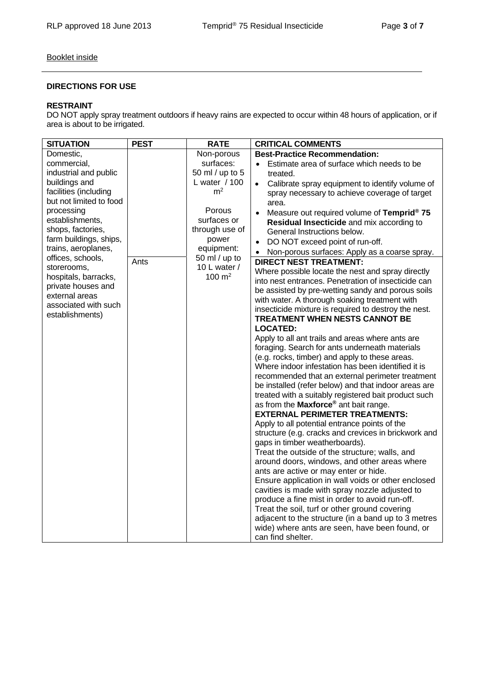#### Booklet inside

#### **DIRECTIONS FOR USE**

#### **RESTRAINT**

DO NOT apply spray treatment outdoors if heavy rains are expected to occur within 48 hours of application, or if area is about to be irrigated.

| <b>SITUATION</b>        | <b>PEST</b> | <b>RATE</b>         | <b>CRITICAL COMMENTS</b>                                     |
|-------------------------|-------------|---------------------|--------------------------------------------------------------|
| Domestic,               |             | Non-porous          | <b>Best-Practice Recommendation:</b>                         |
| commercial,             |             | surfaces:           | Estimate area of surface which needs to be                   |
| industrial and public   |             | 50 ml / up to 5     | treated.                                                     |
| buildings and           |             | L water $/ 100$     | Calibrate spray equipment to identify volume of<br>$\bullet$ |
| facilities (including   |             | m <sup>2</sup>      | spray necessary to achieve coverage of target                |
| but not limited to food |             |                     | area.                                                        |
| processing              |             | Porous              | Measure out required volume of Temprid® 75                   |
| establishments,         |             | surfaces or         | Residual Insecticide and mix according to                    |
| shops, factories,       |             | through use of      | General Instructions below.                                  |
| farm buildings, ships,  |             | power               | DO NOT exceed point of run-off.                              |
| trains, aeroplanes,     |             | equipment:          | Non-porous surfaces: Apply as a coarse spray.                |
| offices, schools,       | Ants        | 50 ml / up to       | <b>DIRECT NEST TREATMENT:</b>                                |
| storerooms,             |             | 10 L water /        | Where possible locate the nest and spray directly            |
| hospitals, barracks,    |             | $100 \; \text{m}^2$ | into nest entrances. Penetration of insecticide can          |
| private houses and      |             |                     | be assisted by pre-wetting sandy and porous soils            |
| external areas          |             |                     | with water. A thorough soaking treatment with                |
| associated with such    |             |                     | insecticide mixture is required to destroy the nest.         |
| establishments)         |             |                     | <b>TREATMENT WHEN NESTS CANNOT BE</b>                        |
|                         |             |                     | <b>LOCATED:</b>                                              |
|                         |             |                     | Apply to all ant trails and areas where ants are             |
|                         |             |                     | foraging. Search for ants underneath materials               |
|                         |             |                     | (e.g. rocks, timber) and apply to these areas.               |
|                         |             |                     | Where indoor infestation has been identified it is           |
|                         |             |                     | recommended that an external perimeter treatment             |
|                         |             |                     | be installed (refer below) and that indoor areas are         |
|                         |             |                     | treated with a suitably registered bait product such         |
|                         |             |                     | as from the Maxforce <sup>®</sup> ant bait range.            |
|                         |             |                     | <b>EXTERNAL PERIMETER TREATMENTS:</b>                        |
|                         |             |                     | Apply to all potential entrance points of the                |
|                         |             |                     | structure (e.g. cracks and crevices in brickwork and         |
|                         |             |                     | gaps in timber weatherboards).                               |
|                         |             |                     | Treat the outside of the structure; walls, and               |
|                         |             |                     | around doors, windows, and other areas where                 |
|                         |             |                     | ants are active or may enter or hide.                        |
|                         |             |                     | Ensure application in wall voids or other enclosed           |
|                         |             |                     | cavities is made with spray nozzle adjusted to               |
|                         |             |                     | produce a fine mist in order to avoid run-off.               |
|                         |             |                     | Treat the soil, turf or other ground covering                |
|                         |             |                     | adjacent to the structure (in a band up to 3 metres          |
|                         |             |                     | wide) where ants are seen, have been found, or               |
|                         |             |                     | can find shelter.                                            |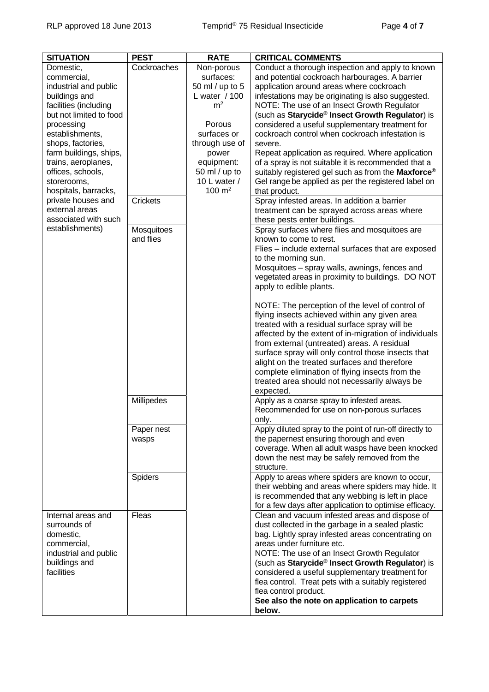| <b>SITUATION</b>                                                                                                                                                                                                                                                                                                                                                             | <b>PEST</b>                                               | <b>RATE</b>                                                                                                                                                                                           | <b>CRITICAL COMMENTS</b>                                                                                                                                                                                                                                                                                                                                                                                                                                                                                                                                                                                                                                                                                                                                                                                                                                                                                                                                                                                                                                                                                                                                                                                                                                                                                           |
|------------------------------------------------------------------------------------------------------------------------------------------------------------------------------------------------------------------------------------------------------------------------------------------------------------------------------------------------------------------------------|-----------------------------------------------------------|-------------------------------------------------------------------------------------------------------------------------------------------------------------------------------------------------------|--------------------------------------------------------------------------------------------------------------------------------------------------------------------------------------------------------------------------------------------------------------------------------------------------------------------------------------------------------------------------------------------------------------------------------------------------------------------------------------------------------------------------------------------------------------------------------------------------------------------------------------------------------------------------------------------------------------------------------------------------------------------------------------------------------------------------------------------------------------------------------------------------------------------------------------------------------------------------------------------------------------------------------------------------------------------------------------------------------------------------------------------------------------------------------------------------------------------------------------------------------------------------------------------------------------------|
| Domestic,<br>commercial,<br>industrial and public<br>buildings and<br>facilities (including<br>but not limited to food<br>processing<br>establishments,<br>shops, factories,<br>farm buildings, ships,<br>trains, aeroplanes,<br>offices, schools,<br>storerooms,<br>hospitals, barracks,<br>private houses and<br>external areas<br>associated with such<br>establishments) | Cockroaches<br><b>Crickets</b><br>Mosquitoes<br>and flies | Non-porous<br>surfaces:<br>50 ml / up to 5<br>L water / 100<br>m <sup>2</sup><br>Porous<br>surfaces or<br>through use of<br>power<br>equipment:<br>50 ml / up to<br>10 L water /<br>$100 \text{ m}^2$ | Conduct a thorough inspection and apply to known<br>and potential cockroach harbourages. A barrier<br>application around areas where cockroach<br>infestations may be originating is also suggested.<br>NOTE: The use of an Insect Growth Regulator<br>(such as Starycide <sup>®</sup> Insect Growth Regulator) is<br>considered a useful supplementary treatment for<br>cockroach control when cockroach infestation is<br>severe.<br>Repeat application as required. Where application<br>of a spray is not suitable it is recommended that a<br>suitably registered gel such as from the Maxforce®<br>Gel range be applied as per the registered label on<br>that product.<br>Spray infested areas. In addition a barrier<br>treatment can be sprayed across areas where<br>these pests enter buildings.<br>Spray surfaces where flies and mosquitoes are<br>known to come to rest.<br>Flies - include external surfaces that are exposed<br>to the morning sun.<br>Mosquitoes - spray walls, awnings, fences and<br>vegetated areas in proximity to buildings. DO NOT<br>apply to edible plants.<br>NOTE: The perception of the level of control of<br>flying insects achieved within any given area<br>treated with a residual surface spray will be<br>affected by the extent of in-migration of individuals |
|                                                                                                                                                                                                                                                                                                                                                                              |                                                           |                                                                                                                                                                                                       | from external (untreated) areas. A residual<br>surface spray will only control those insects that<br>alight on the treated surfaces and therefore<br>complete elimination of flying insects from the<br>treated area should not necessarily always be                                                                                                                                                                                                                                                                                                                                                                                                                                                                                                                                                                                                                                                                                                                                                                                                                                                                                                                                                                                                                                                              |
|                                                                                                                                                                                                                                                                                                                                                                              | Millipedes                                                |                                                                                                                                                                                                       | expected.<br>Apply as a coarse spray to infested areas.<br>Recommended for use on non-porous surfaces                                                                                                                                                                                                                                                                                                                                                                                                                                                                                                                                                                                                                                                                                                                                                                                                                                                                                                                                                                                                                                                                                                                                                                                                              |
|                                                                                                                                                                                                                                                                                                                                                                              | Paper nest<br>wasps                                       |                                                                                                                                                                                                       | only.<br>Apply diluted spray to the point of run-off directly to<br>the papernest ensuring thorough and even<br>coverage. When all adult wasps have been knocked                                                                                                                                                                                                                                                                                                                                                                                                                                                                                                                                                                                                                                                                                                                                                                                                                                                                                                                                                                                                                                                                                                                                                   |
|                                                                                                                                                                                                                                                                                                                                                                              | Spiders                                                   |                                                                                                                                                                                                       | down the nest may be safely removed from the<br>structure.                                                                                                                                                                                                                                                                                                                                                                                                                                                                                                                                                                                                                                                                                                                                                                                                                                                                                                                                                                                                                                                                                                                                                                                                                                                         |
|                                                                                                                                                                                                                                                                                                                                                                              |                                                           |                                                                                                                                                                                                       | Apply to areas where spiders are known to occur,<br>their webbing and areas where spiders may hide. It<br>is recommended that any webbing is left in place<br>for a few days after application to optimise efficacy.                                                                                                                                                                                                                                                                                                                                                                                                                                                                                                                                                                                                                                                                                                                                                                                                                                                                                                                                                                                                                                                                                               |
| Internal areas and<br>surrounds of<br>domestic,<br>commercial,<br>industrial and public<br>buildings and<br>facilities                                                                                                                                                                                                                                                       | Fleas                                                     |                                                                                                                                                                                                       | Clean and vacuum infested areas and dispose of<br>dust collected in the garbage in a sealed plastic<br>bag. Lightly spray infested areas concentrating on<br>areas under furniture etc.<br>NOTE: The use of an Insect Growth Regulator<br>(such as Starycide <sup>®</sup> Insect Growth Regulator) is<br>considered a useful supplementary treatment for<br>flea control. Treat pets with a suitably registered<br>flea control product.<br>See also the note on application to carpets<br>below.                                                                                                                                                                                                                                                                                                                                                                                                                                                                                                                                                                                                                                                                                                                                                                                                                  |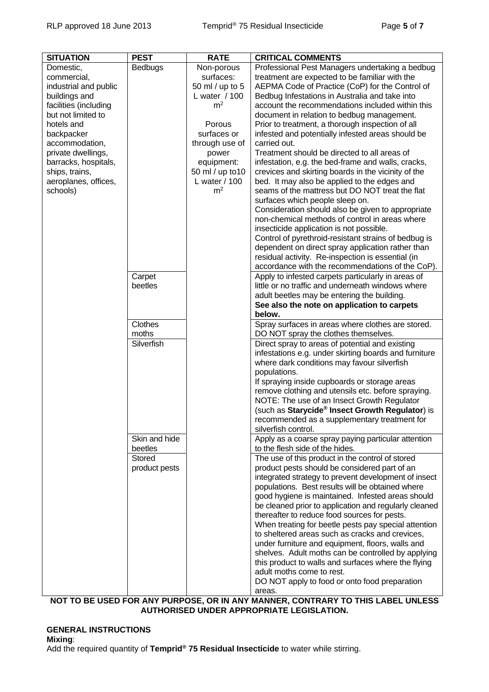| <b>SITUATION</b>             | <b>PEST</b>   | <b>RATE</b>             | <b>CRITICAL COMMENTS</b>                                                                  |
|------------------------------|---------------|-------------------------|-------------------------------------------------------------------------------------------|
| Domestic,                    | Bedbugs       | Non-porous              | Professional Pest Managers undertaking a bedbug                                           |
| commercial,                  |               | surfaces:               | treatment are expected to be familiar with the                                            |
| industrial and public        |               | 50 ml / up to 5         | AEPMA Code of Practice (CoP) for the Control of                                           |
| buildings and                |               | L water / 100           | Bedbug Infestations in Australia and take into                                            |
| facilities (including        |               | m <sup>2</sup>          | account the recommendations included within this                                          |
| but not limited to           |               |                         | document in relation to bedbug management.                                                |
| hotels and                   |               | Porous                  | Prior to treatment, a thorough inspection of all                                          |
| backpacker<br>accommodation, |               | surfaces or             | infested and potentially infested areas should be<br>carried out.                         |
| private dwellings,           |               | through use of<br>power | Treatment should be directed to all areas of                                              |
| barracks, hospitals,         |               | equipment:              | infestation, e.g. the bed-frame and walls, cracks,                                        |
| ships, trains,               |               | 50 ml / up to 10        | crevices and skirting boards in the vicinity of the                                       |
| aeroplanes, offices,         |               | L water / 100           | bed. It may also be applied to the edges and                                              |
| schools)                     |               | m <sup>2</sup>          | seams of the mattress but DO NOT treat the flat                                           |
|                              |               |                         | surfaces which people sleep on.                                                           |
|                              |               |                         | Consideration should also be given to appropriate                                         |
|                              |               |                         | non-chemical methods of control in areas where                                            |
|                              |               |                         | insecticide application is not possible.                                                  |
|                              |               |                         | Control of pyrethroid-resistant strains of bedbug is                                      |
|                              |               |                         | dependent on direct spray application rather than                                         |
|                              |               |                         | residual activity. Re-inspection is essential (in                                         |
|                              |               |                         | accordance with the recommendations of the CoP).                                          |
|                              | Carpet        |                         | Apply to infested carpets particularly in areas of                                        |
|                              | beetles       |                         | little or no traffic and underneath windows where                                         |
|                              |               |                         | adult beetles may be entering the building.                                               |
|                              |               |                         | See also the note on application to carpets                                               |
|                              | Clothes       |                         | below.                                                                                    |
|                              | moths         |                         | Spray surfaces in areas where clothes are stored.<br>DO NOT spray the clothes themselves. |
|                              | Silverfish    |                         | Direct spray to areas of potential and existing                                           |
|                              |               |                         | infestations e.g. under skirting boards and furniture                                     |
|                              |               |                         | where dark conditions may favour silverfish                                               |
|                              |               |                         | populations.                                                                              |
|                              |               |                         | If spraying inside cupboards or storage areas                                             |
|                              |               |                         | remove clothing and utensils etc. before spraying.                                        |
|                              |               |                         | NOTE: The use of an Insect Growth Regulator                                               |
|                              |               |                         | (such as Starycide® Insect Growth Regulator) is                                           |
|                              |               |                         | recommended as a supplementary treatment for                                              |
|                              | Skin and hide |                         | silverfish control.                                                                       |
|                              | beetles       |                         | Apply as a coarse spray paying particular attention<br>to the flesh side of the hides.    |
|                              | <b>Stored</b> |                         | The use of this product in the control of stored                                          |
|                              | product pests |                         | product pests should be considered part of an                                             |
|                              |               |                         | integrated strategy to prevent development of insect                                      |
|                              |               |                         | populations. Best results will be obtained where                                          |
|                              |               |                         | good hygiene is maintained. Infested areas should                                         |
|                              |               |                         | be cleaned prior to application and regularly cleaned                                     |
|                              |               |                         | thereafter to reduce food sources for pests.                                              |
|                              |               |                         | When treating for beetle pests pay special attention                                      |
|                              |               |                         | to sheltered areas such as cracks and crevices,                                           |
|                              |               |                         | under furniture and equipment, floors, walls and                                          |
|                              |               |                         | shelves. Adult moths can be controlled by applying                                        |
|                              |               |                         | this product to walls and surfaces where the flying                                       |
|                              |               |                         | adult moths come to rest.<br>DO NOT apply to food or onto food preparation                |
|                              |               |                         | areas.                                                                                    |
|                              |               |                         | NOT TO BE USED FOR ANY PURPOSE, OR IN ANY MANNER, CONTRARY TO THIS LABEL UNLESS           |

**AUTHORISED UNDER APPROPRIATE LEGISLATION.** 

#### **GENERAL INSTRUCTIONS Mixing**: Add the required quantity of **Temprid® 75 Residual Insecticide** to water while stirring.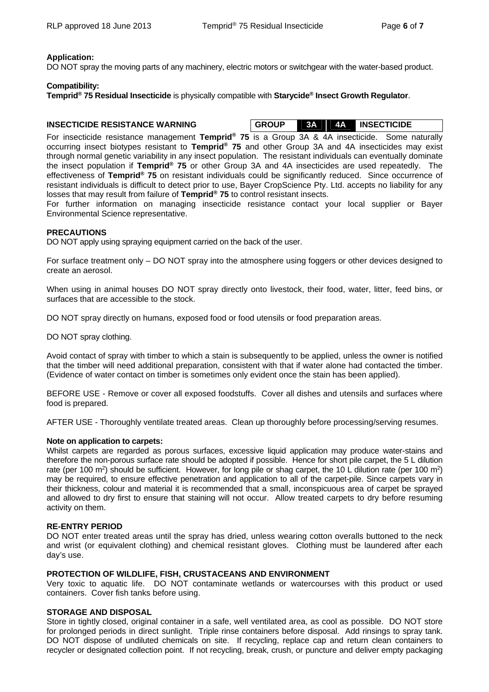#### **Application:**

DO NOT spray the moving parts of any machinery, electric motors or switchgear with the water-based product.

#### **Compatibility:**

**Temprid® 75 Residual Insecticide** is physically compatible with **Starycide® Insect Growth Regulator**.

#### **INSECTICIDE RESISTANCE WARNING**

| <b>GROUP</b> | <b>3A</b> | .4A | <b>INSECTICIDE</b> |  |
|--------------|-----------|-----|--------------------|--|
|              |           |     |                    |  |

For insecticide resistance management **Temprid® 75** is a Group 3A & 4A insecticide. Some naturally occurring insect biotypes resistant to **Temprid® 75** and other Group 3A and 4A insecticides may exist through normal genetic variability in any insect population. The resistant individuals can eventually dominate the insect population if **Temprid® 75** or other Group 3A and 4A insecticides are used repeatedly. The effectiveness of **Temprid® 75** on resistant individuals could be significantly reduced. Since occurrence of resistant individuals is difficult to detect prior to use, Bayer CropScience Pty. Ltd. accepts no liability for any losses that may result from failure of **Temprid® 75** to control resistant insects.

For further information on managing insecticide resistance contact your local supplier or Bayer Environmental Science representative.

#### **PRECAUTIONS**

DO NOT apply using spraying equipment carried on the back of the user.

For surface treatment only – DO NOT spray into the atmosphere using foggers or other devices designed to create an aerosol.

When using in animal houses DO NOT spray directly onto livestock, their food, water, litter, feed bins, or surfaces that are accessible to the stock.

DO NOT spray directly on humans, exposed food or food utensils or food preparation areas.

DO NOT spray clothing.

Avoid contact of spray with timber to which a stain is subsequently to be applied, unless the owner is notified that the timber will need additional preparation, consistent with that if water alone had contacted the timber. (Evidence of water contact on timber is sometimes only evident once the stain has been applied).

BEFORE USE - Remove or cover all exposed foodstuffs. Cover all dishes and utensils and surfaces where food is prepared.

AFTER USE - Thoroughly ventilate treated areas. Clean up thoroughly before processing/serving resumes.

#### **Note on application to carpets:**

Whilst carpets are regarded as porous surfaces, excessive liquid application may produce water-stains and therefore the non-porous surface rate should be adopted if possible. Hence for short pile carpet, the 5 L dilution rate (per 100 m<sup>2</sup>) should be sufficient. However, for long pile or shag carpet, the 10 L dilution rate (per 100 m<sup>2</sup>) may be required, to ensure effective penetration and application to all of the carpet-pile. Since carpets vary in their thickness, colour and material it is recommended that a small, inconspicuous area of carpet be sprayed and allowed to dry first to ensure that staining will not occur. Allow treated carpets to dry before resuming activity on them.

#### **RE-ENTRY PERIOD**

DO NOT enter treated areas until the spray has dried, unless wearing cotton overalls buttoned to the neck and wrist (or equivalent clothing) and chemical resistant gloves. Clothing must be laundered after each day's use.

#### **PROTECTION OF WILDLIFE, FISH, CRUSTACEANS AND ENVIRONMENT**

Very toxic to aquatic life. DO NOT contaminate wetlands or watercourses with this product or used containers. Cover fish tanks before using.

#### **STORAGE AND DISPOSAL**

Store in tightly closed, original container in a safe, well ventilated area, as cool as possible. DO NOT store for prolonged periods in direct sunlight. Triple rinse containers before disposal. Add rinsings to spray tank. DO NOT dispose of undiluted chemicals on site. If recycling, replace cap and return clean containers to recycler or designated collection point. If not recycling, break, crush, or puncture and deliver empty packaging